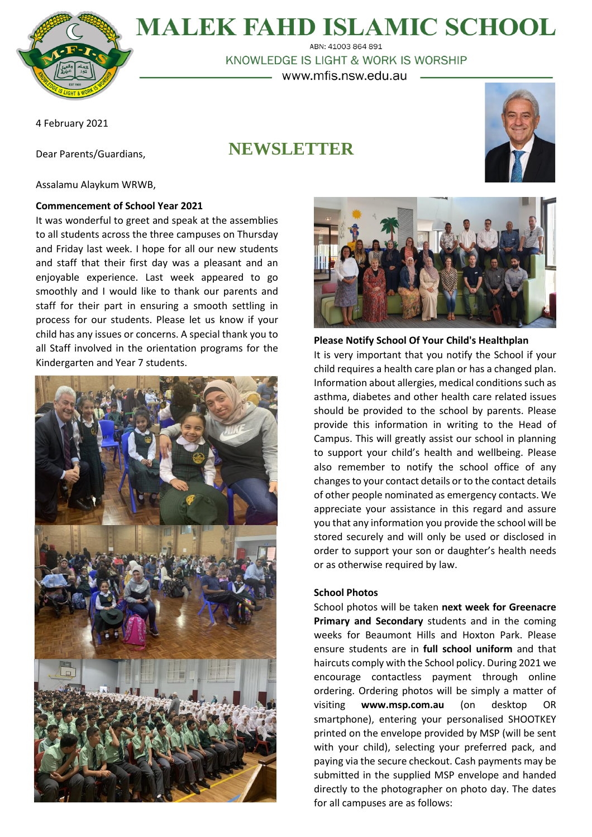

# **MALEK FAHD ISLAMIC SCHOOL**

ABN: 41003 864 891 KNOWLEDGE IS LIGHT & WORK IS WORSHIP - www.mfis.nsw.edu.au

4 February 2021

**NEWSLETTER**



Assalamu Alaykum WRWB,

Dear Parents/Guardians,

#### **Commencement of School Year 2021**

It was wonderful to greet and speak at the assemblies to all students across the three campuses on Thursday and Friday last week. I hope for all our new students and staff that their first day was a pleasant and an enjoyable experience. Last week appeared to go smoothly and I would like to thank our parents and staff for their part in ensuring a smooth settling in process for our students. Please let us know if your child has any issues or concerns. A special thank you to all Staff involved in the orientation programs for the Kindergarten and Year 7 students.





**Please Notify School Of Your Child's Healthplan** It is very important that you notify the School if your child requires a health care plan or has a changed plan. Information about allergies, medical conditions such as asthma, diabetes and other health care related issues should be provided to the school by parents. Please provide this information in writing to the Head of Campus. This will greatly assist our school in planning to support your child's health and wellbeing. Please also remember to notify the school office of any changes to your contact details or to the contact details of other people nominated as emergency contacts. We appreciate your assistance in this regard and assure you that any information you provide the school will be stored securely and will only be used or disclosed in order to support your son or daughter's health needs or as otherwise required by law.

# **School Photos**

School photos will be taken **next week for Greenacre Primary and Secondary** students and in the coming weeks for Beaumont Hills and Hoxton Park. Please ensure students are in **full school uniform** and that haircuts comply with the School policy. During 2021 we encourage contactless payment through online ordering. Ordering photos will be simply a matter of visiting **www.msp.com.au** (on desktop OR smartphone), entering your personalised SHOOTKEY printed on the envelope provided by MSP (will be sent with your child), selecting your preferred pack, and paying via the secure checkout. Cash payments may be submitted in the supplied MSP envelope and handed directly to the photographer on photo day. The dates for all campuses are as follows: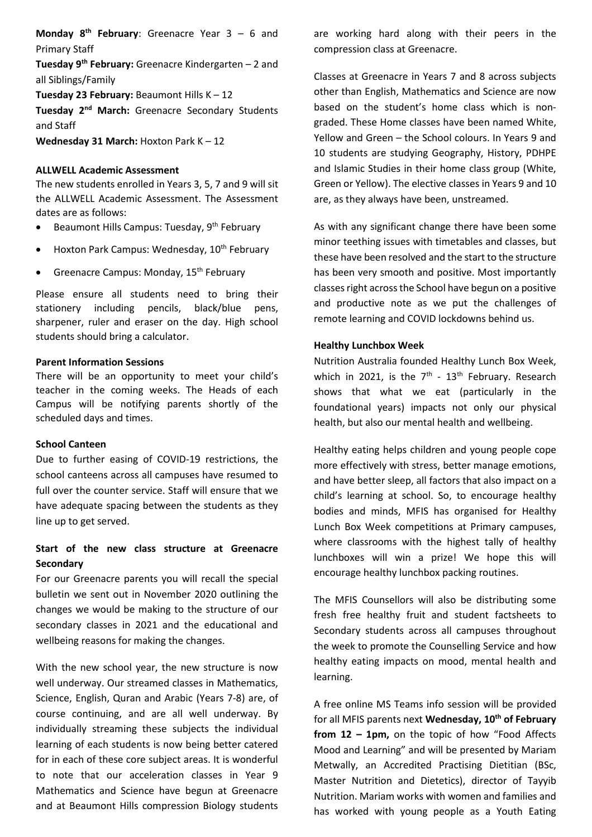**Monday 8 th February**: Greenacre Year 3 – 6 and Primary Staff

**Tuesday 9 th February:** Greenacre Kindergarten – 2 and all Siblings/Family

**Tuesday 23 February:** Beaumont Hills K – 12

**Tuesday 2<sup>nd</sup> March:** Greenacre Secondary Students and Staff

**Wednesday 31 March:** Hoxton Park K – 12

#### **ALLWELL Academic Assessment**

The new students enrolled in Years 3, 5, 7 and 9 will sit the ALLWELL Academic Assessment. The Assessment dates are as follows:

- $\bullet$  Beaumont Hills Campus: Tuesday, 9<sup>th</sup> February
- $\bullet$  Hoxton Park Campus: Wednesday,  $10^{th}$  February
- Greenacre Campus: Monday, 15<sup>th</sup> February

Please ensure all students need to bring their stationery including pencils, black/blue pens, sharpener, ruler and eraser on the day. High school students should bring a calculator.

#### **Parent Information Sessions**

There will be an opportunity to meet your child's teacher in the coming weeks. The Heads of each Campus will be notifying parents shortly of the scheduled days and times.

#### **School Canteen**

Due to further easing of COVID-19 restrictions, the school canteens across all campuses have resumed to full over the counter service. Staff will ensure that we have adequate spacing between the students as they line up to get served.

# **Start of the new class structure at Greenacre Secondary**

For our Greenacre parents you will recall the special bulletin we sent out in November 2020 outlining the changes we would be making to the structure of our secondary classes in 2021 and the educational and wellbeing reasons for making the changes.

With the new school year, the new structure is now well underway. Our streamed classes in Mathematics, Science, English, Quran and Arabic (Years 7-8) are, of course continuing, and are all well underway. By individually streaming these subjects the individual learning of each students is now being better catered for in each of these core subject areas. It is wonderful to note that our acceleration classes in Year 9 Mathematics and Science have begun at Greenacre and at Beaumont Hills compression Biology students are working hard along with their peers in the compression class at Greenacre.

Classes at Greenacre in Years 7 and 8 across subjects other than English, Mathematics and Science are now based on the student's home class which is nongraded. These Home classes have been named White, Yellow and Green – the School colours. In Years 9 and 10 students are studying Geography, History, PDHPE and Islamic Studies in their home class group (White, Green or Yellow). The elective classes in Years 9 and 10 are, as they always have been, unstreamed.

As with any significant change there have been some minor teething issues with timetables and classes, but these have been resolved and the start to the structure has been very smooth and positive. Most importantly classes right across the School have begun on a positive and productive note as we put the challenges of remote learning and COVID lockdowns behind us.

#### **Healthy Lunchbox Week**

Nutrition Australia founded Healthy Lunch Box Week, which in 2021, is the  $7<sup>th</sup>$  -  $13<sup>th</sup>$  February. Research shows that what we eat (particularly in the foundational years) impacts not only our physical health, but also our mental health and wellbeing.

Healthy eating helps children and young people cope more effectively with stress, better manage emotions, and have better sleep, all factors that also impact on a child's learning at school. So, to encourage healthy bodies and minds, MFIS has organised for Healthy Lunch Box Week competitions at Primary campuses, where classrooms with the highest tally of healthy lunchboxes will win a prize! We hope this will encourage healthy lunchbox packing routines.

The MFIS Counsellors will also be distributing some fresh free healthy fruit and student factsheets to Secondary students across all campuses throughout the week to promote the Counselling Service and how healthy eating impacts on mood, mental health and learning.

A free online MS Teams info session will be provided for all MFIS parents next **Wednesday, 10th of February from 12 – 1pm,** on the topic of how "Food Affects Mood and Learning" and will be presented by Mariam Metwally, an Accredited Practising Dietitian (BSc, Master Nutrition and Dietetics), director of Tayyib Nutrition. Mariam works with women and families and has worked with young people as a Youth Eating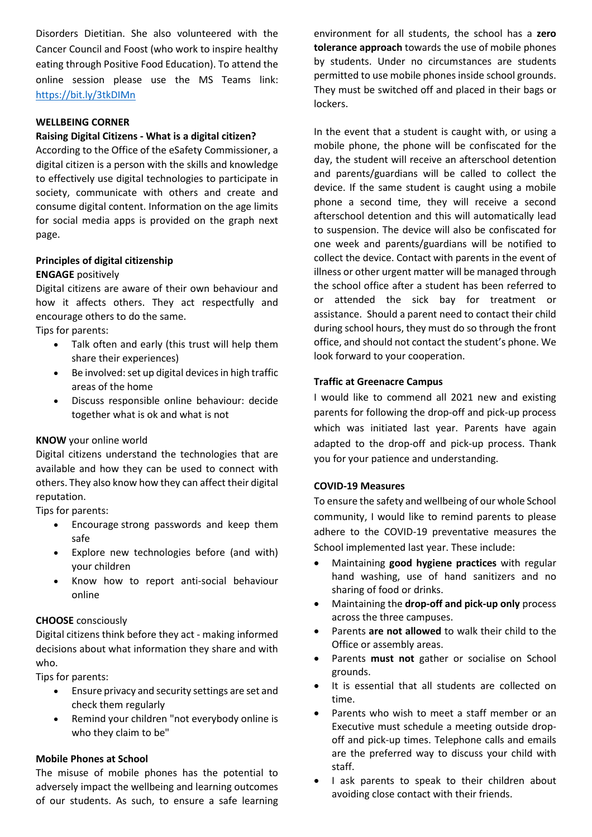Disorders Dietitian. She also volunteered with the Cancer Council and Foost (who work to inspire healthy eating through Positive Food Education). To attend the online session please use the MS Teams link: <https://bit.ly/3tkDIMn>

## **WELLBEING CORNER**

## **Raising Digital Citizens - What is a digital citizen?**

According to the Office of the eSafety Commissioner, a digital citizen is a person with the skills and knowledge to effectively use digital technologies to participate in society, communicate with others and create and consume digital content. Information on the age limits for social media apps is provided on the graph next page.

# **Principles of digital citizenship**

#### **ENGAGE** positively

Digital citizens are aware of their own behaviour and how it affects others. They act respectfully and encourage others to do the same.

Tips for parents:

- Talk often and early (this trust will help them share their experiences)
- Be involved: set up digital devices in high traffic areas of the home
- Discuss responsible online behaviour: decide together what is ok and what is not

#### **KNOW** your online world

Digital citizens understand the technologies that are available and how they can be used to connect with others. They also know how they can affect their digital reputation.

Tips for parents:

- Encourage strong passwords and keep them safe
- Explore new technologies before (and with) your children
- Know how to report anti-social behaviour online

#### **CHOOSE** consciously

Digital citizens think before they act - making informed decisions about what information they share and with who.

Tips for parents:

- Ensure privacy and security settings are set and check them regularly
- Remind your children "not everybody online is who they claim to be"

#### **Mobile Phones at School**

The misuse of mobile phones has the potential to adversely impact the wellbeing and learning outcomes of our students. As such, to ensure a safe learning environment for all students, the school has a **zero tolerance approach** towards the use of mobile phones by students. Under no circumstances are students permitted to use mobile phones inside school grounds. They must be switched off and placed in their bags or lockers.

In the event that a student is caught with, or using a mobile phone, the phone will be confiscated for the day, the student will receive an afterschool detention and parents/guardians will be called to collect the device. If the same student is caught using a mobile phone a second time, they will receive a second afterschool detention and this will automatically lead to suspension. The device will also be confiscated for one week and parents/guardians will be notified to collect the device. Contact with parents in the event of illness or other urgent matter will be managed through the school office after a student has been referred to or attended the sick bay for treatment or assistance. Should a parent need to contact their child during school hours, they must do so through the front office, and should not contact the student's phone. We look forward to your cooperation.

#### **Traffic at Greenacre Campus**

I would like to commend all 2021 new and existing parents for following the drop-off and pick-up process which was initiated last year. Parents have again adapted to the drop-off and pick-up process. Thank you for your patience and understanding.

#### **COVID-19 Measures**

To ensure the safety and wellbeing of our whole School community, I would like to remind parents to please adhere to the COVID-19 preventative measures the School implemented last year. These include:

- Maintaining **good hygiene practices** with regular hand washing, use of hand sanitizers and no sharing of food or drinks.
- Maintaining the **drop-off and pick-up only** process across the three campuses.
- Parents **are not allowed** to walk their child to the Office or assembly areas.
- Parents **must not** gather or socialise on School grounds.
- It is essential that all students are collected on time.
- Parents who wish to meet a staff member or an Executive must schedule a meeting outside dropoff and pick-up times. Telephone calls and emails are the preferred way to discuss your child with staff.
- I ask parents to speak to their children about avoiding close contact with their friends.